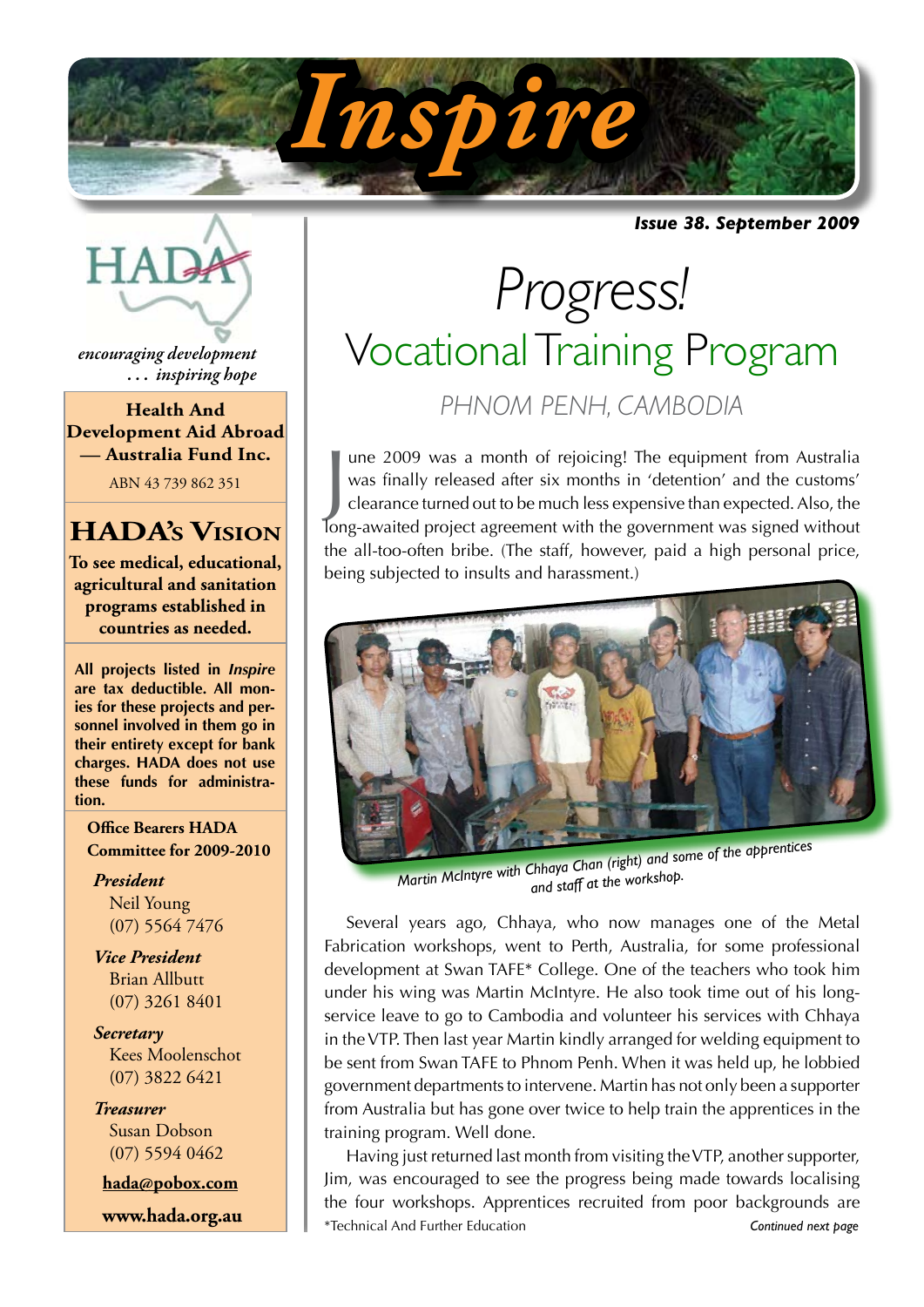

*Issue 38. September 2009*



*encouraging development . . . inspiring hope*

**Health And Development Aid Abroad — Australia Fund Inc.**

ABN 43 739 862 351

## **HADA's Vision**

**To see medical, educational, agricultural and sanitation programs established in countries as needed.**

**All projects listed in** *Inspire* **are tax deductible. All monies for these projects and personnel involved in them go in their entirety except for bank charges. HADA does not use these funds for administration.**

**Office Bearers HADA Committee for 2009-2010**

*President* Neil Young (07) 5564 7476

*Vice President* Brian Allbutt (07) 3261 8401

*Secretary* Kees Moolenschot (07) 3822 6421

*Treasurer* Susan Dobson (07) 5594 0462

**hada@pobox.com**

 **www.hada.org.au**

# *Progress!* Vocational Training Program *PHNOM PENH, CAMBODIA*

I une 2009 was a month of rejoicing! The equipment from Australia was finally released after six months in 'detention' and the customs' clearance turned out to be much less expensive than expected. Also, the long-awaited p une 2009 was a month of rejoicing! The equipment from Australia was finally released after six months in 'detention' and the customs' clearance turned out to be much less expensive than expected. Also, the the all-too-often bribe. (The staff, however, paid a high personal price, being subjected to insults and harassment.)



*Martin McIntyre with Chhaya Chan (right) and some of the apprentices and staff at the workshop.*

Several years ago, Chhaya, who now manages one of the Metal Fabrication workshops, went to Perth, Australia, for some professional development at Swan TAFE\* College. One of the teachers who took him under his wing was Martin McIntyre. He also took time out of his longservice leave to go to Cambodia and volunteer his services with Chhaya in the VTP. Then last year Martin kindly arranged for welding equipment to be sent from Swan TAFE to Phnom Penh. When it was held up, he lobbied government departments to intervene. Martin has not only been a supporter from Australia but has gone over twice to help train the apprentices in the training program. Well done.

Having just returned last month from visiting the VTP, another supporter, Jim, was encouraged to see the progress being made towards localising the four workshops. Apprentices recruited from poor backgrounds are \*Technical And Further Education *Continued next page*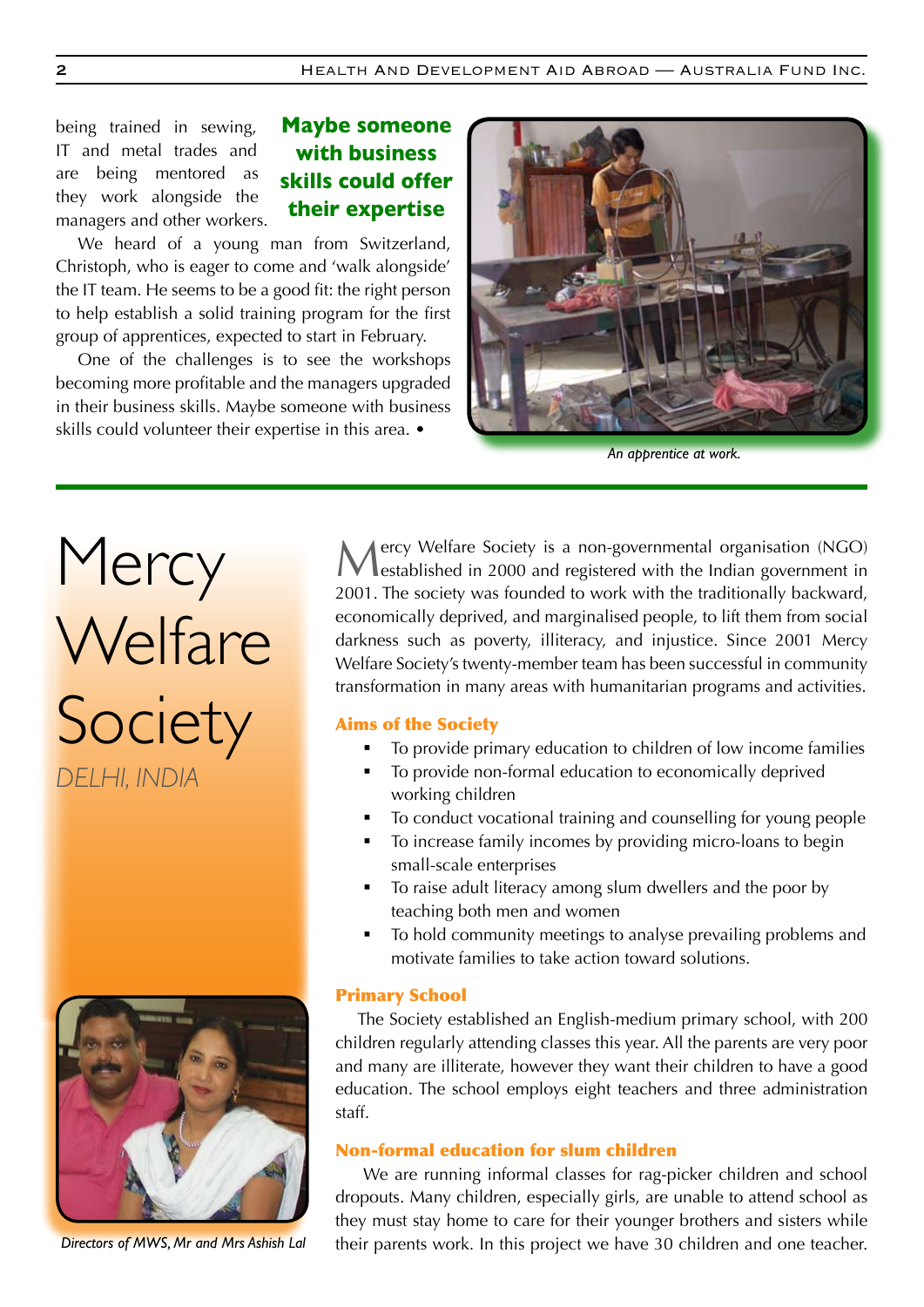being trained in sewing, IT and metal trades and are being mentored as they work alongside the managers and other workers.

### **Maybe someone with business skills could offer their expertise**

We heard of a young man from Switzerland, Christoph, who is eager to come and 'walk alongside' the IT team. He seems to be a good fit: the right person to help establish a solid training program for the first group of apprentices, expected to start in February.

One of the challenges is to see the workshops becoming more profitable and the managers upgraded in their business skills. Maybe someone with business skills could volunteer their expertise in this area. •



*An apprentice at work.*

Mercy Welfare Society *DELHI, INDIA*



*Directors of MWS, Mr and Mrs Ashish Lal*

Mercy Welfare Society is a non-governmental organisation (NGO) established in 2000 and registered with the Indian government in 2001. The society was founded to work with the traditionally backward, economically deprived, and marginalised people, to lift them from social darkness such as poverty, illiteracy, and injustice. Since 2001 Mercy Welfare Society's twenty-member team has been successful in community transformation in many areas with humanitarian programs and activities.

#### Aims of the Society

- To provide primary education to children of low income families
- To provide non-formal education to economically deprived working children
- To conduct vocational training and counselling for young people
- To increase family incomes by providing micro-loans to begin small-scale enterprises
- To raise adult literacy among slum dwellers and the poor by teaching both men and women
- To hold community meetings to analyse prevailing problems and motivate families to take action toward solutions.

#### Primary School

The Society established an English-medium primary school, with 200 children regularly attending classes this year. All the parents are very poor and many are illiterate, however they want their children to have a good education. The school employs eight teachers and three administration staff.

#### Non-formal education for slum children

 We are running informal classes for rag-picker children and school dropouts. Many children, especially girls, are unable to attend school as they must stay home to care for their younger brothers and sisters while their parents work. In this project we have 30 children and one teacher.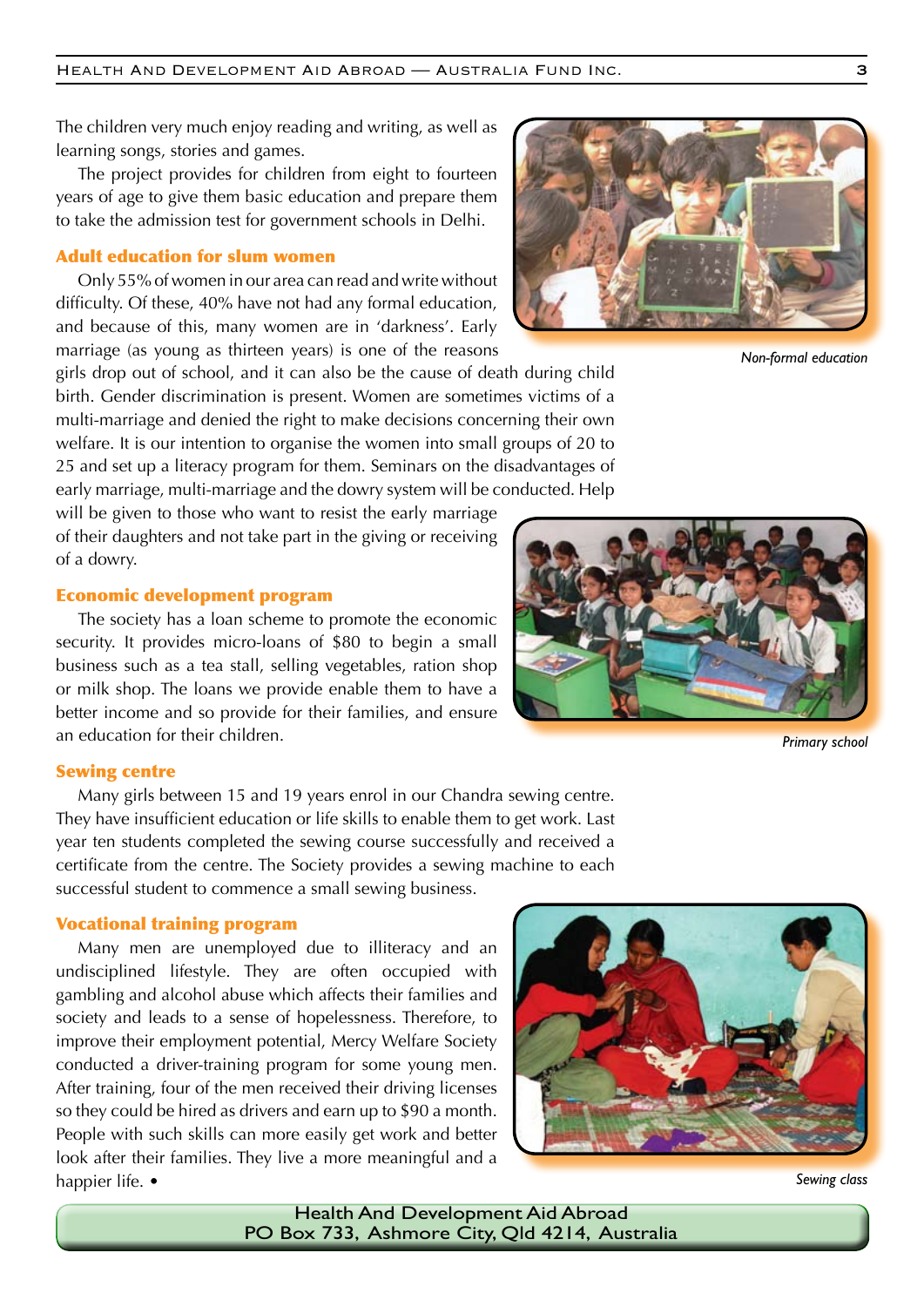The children very much enjoy reading and writing, as well as learning songs, stories and games.

The project provides for children from eight to fourteen years of age to give them basic education and prepare them to take the admission test for government schools in Delhi.

#### Adult education for slum women

Only 55% of women in our area can read and write without difficulty. Of these, 40% have not had any formal education, and because of this, many women are in 'darkness'. Early marriage (as young as thirteen years) is one of the reasons

girls drop out of school, and it can also be the cause of death during child birth. Gender discrimination is present. Women are sometimes victims of a multi-marriage and denied the right to make decisions concerning their own welfare. It is our intention to organise the women into small groups of 20 to 25 and set up a literacy program for them. Seminars on the disadvantages of early marriage, multi-marriage and the dowry system will be conducted. Help

will be given to those who want to resist the early marriage of their daughters and not take part in the giving or receiving of a dowry.

#### Economic development program

The society has a loan scheme to promote the economic security. It provides micro-loans of \$80 to begin a small business such as a tea stall, selling vegetables, ration shop or milk shop. The loans we provide enable them to have a better income and so provide for their families, and ensure an education for their children.

#### Sewing centre

Many girls between 15 and 19 years enrol in our Chandra sewing centre. They have insufficient education or life skills to enable them to get work. Last year ten students completed the sewing course successfully and received a certificate from the centre. The Society provides a sewing machine to each successful student to commence a small sewing business.

#### Vocational training program

Many men are unemployed due to illiteracy and an undisciplined lifestyle. They are often occupied with gambling and alcohol abuse which affects their families and society and leads to a sense of hopelessness. Therefore, to improve their employment potential, Mercy Welfare Society conducted a driver-training program for some young men. After training, four of the men received their driving licenses so they could be hired as drivers and earn up to \$90 a month. People with such skills can more easily get work and better look after their families. They live a more meaningful and a happier life. •





*Primary school*



*Non-formal education*



*Sewing class*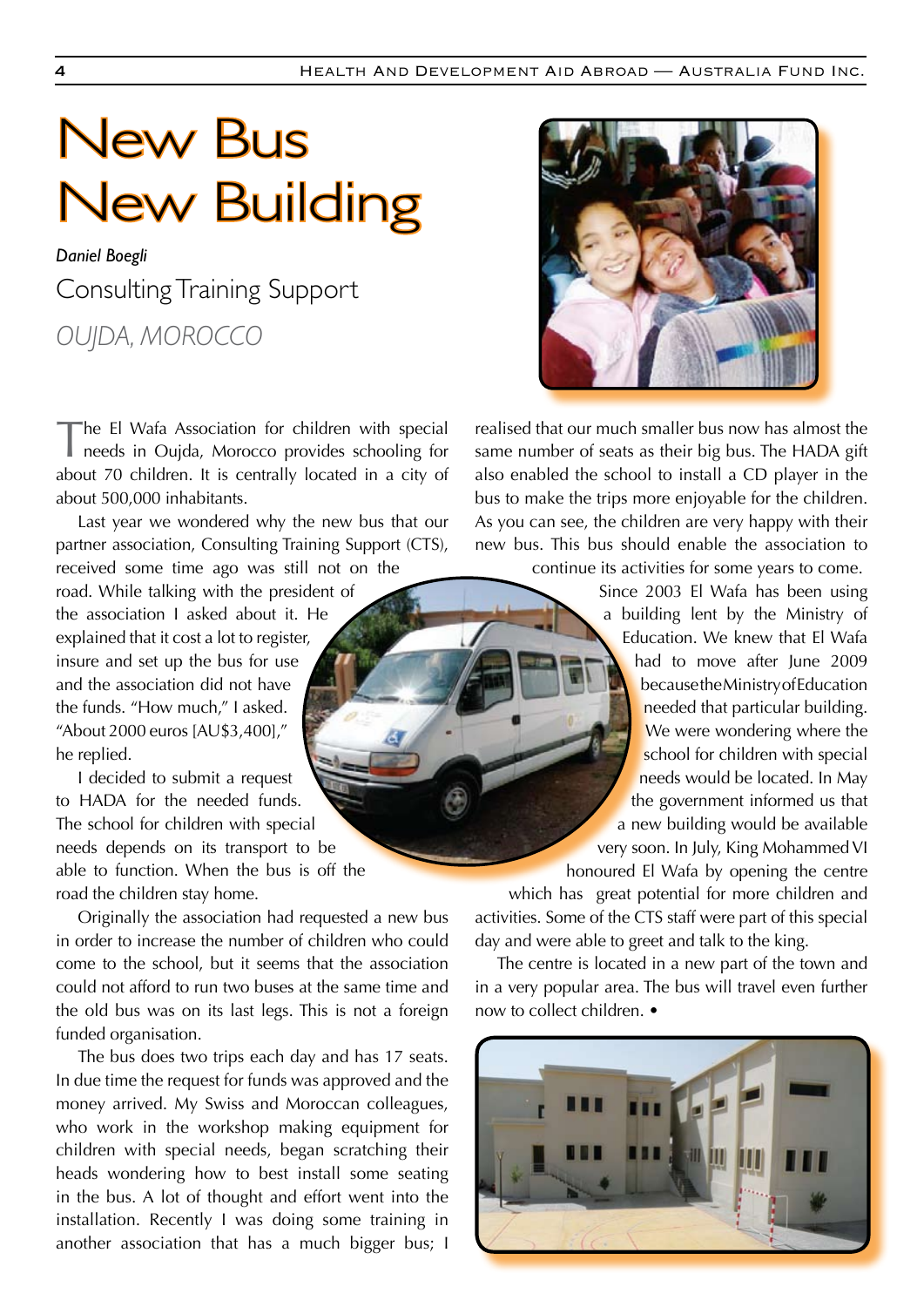# New Bus New Building

## *Daniel Boegli* Consulting Training Support *OUJDA, MOROCCO*

The El Wafa Association for children with special needs in Oujda, Morocco provides schooling for about 70 children. It is centrally located in a city of about 500,000 inhabitants.

Last year we wondered why the new bus that our partner association, Consulting Training Support (CTS), received some time ago was still not on the

road. While talking with the president of the association I asked about it. He explained that it cost a lot to register, insure and set up the bus for use and the association did not have the funds. "How much," I asked. "About 2000 euros [AU\$3,400]," he replied.

I decided to submit a request to HADA for the needed funds. The school for children with special needs depends on its transport to be able to function. When the bus is off the road the children stay home.

Originally the association had requested a new bus in order to increase the number of children who could come to the school, but it seems that the association could not afford to run two buses at the same time and the old bus was on its last legs. This is not a foreign funded organisation.

The bus does two trips each day and has 17 seats. In due time the request for funds was approved and the money arrived. My Swiss and Moroccan colleagues, who work in the workshop making equipment for children with special needs, began scratching their heads wondering how to best install some seating in the bus. A lot of thought and effort went into the installation. Recently I was doing some training in another association that has a much bigger bus; I



realised that our much smaller bus now has almost the same number of seats as their big bus. The HADA gift also enabled the school to install a CD player in the bus to make the trips more enjoyable for the children. As you can see, the children are very happy with their new bus. This bus should enable the association to continue its activities for some years to come.

Since 2003 El Wafa has been using a building lent by the Ministry of Education. We knew that El Wafa had to move after June 2009 because the Ministry of Education needed that particular building. We were wondering where the school for children with special needs would be located. In May the government informed us that a new building would be available very soon. In July, King Mohammed VI

honoured El Wafa by opening the centre

which has great potential for more children and activities. Some of the CTS staff were part of this special day and were able to greet and talk to the king.

The centre is located in a new part of the town and in a very popular area. The bus will travel even further now to collect children. •

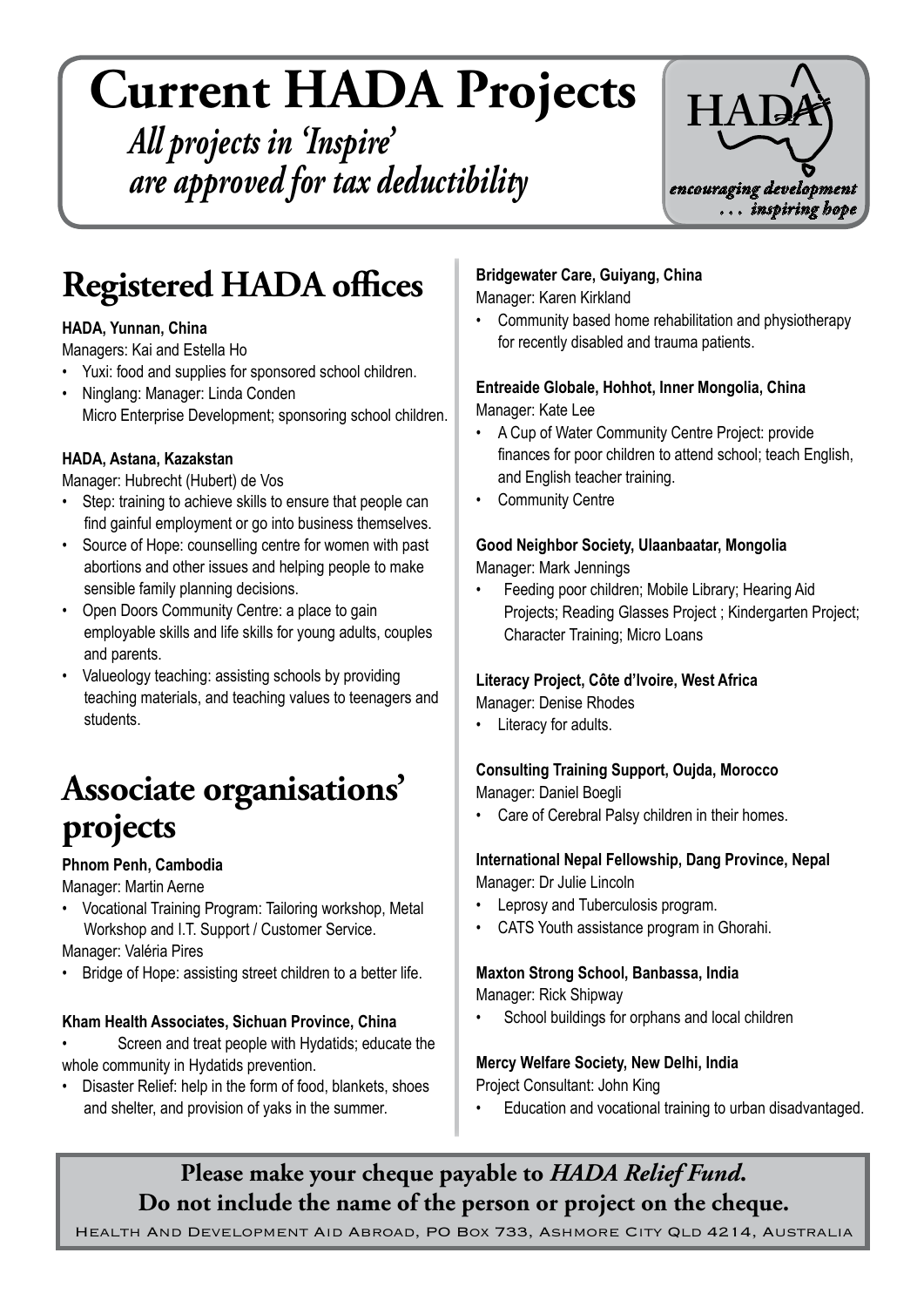# **Current HADA Projects**

*All projects in 'Inspire' are approved for tax deductibility*



# **Registered HADA offices**

#### **HADA, Yunnan, China**

Managers: Kai and Estella Ho

- Yuxi: food and supplies for sponsored school children.
- • Ninglang: Manager: Linda Conden Micro Enterprise Development; sponsoring school children.

#### **HADA, Astana, Kazakstan**

Manager: Hubrecht (Hubert) de Vos

- Step: training to achieve skills to ensure that people can find gainful employment or go into business themselves.
- Source of Hope: counselling centre for women with past abortions and other issues and helping people to make sensible family planning decisions.
- Open Doors Community Centre: a place to gain employable skills and life skills for young adults, couples and parents.
- Valueology teaching: assisting schools by providing teaching materials, and teaching values to teenagers and students.

# **Associate organisations' projects**

#### **Phnom Penh, Cambodia**

Manager: Martin Aerne

Vocational Training Program: Tailoring workshop, Metal Workshop and I.T. Support / Customer Service.

Manager: Valéria Pires

Bridge of Hope: assisting street children to a better life.

#### **Kham Health Associates, Sichuan Province, China**

- Screen and treat people with Hydatids; educate the whole community in Hydatids prevention.
- Disaster Relief: help in the form of food, blankets, shoes and shelter, and provision of yaks in the summer.

#### **Bridgewater Care, Guiyang, China**

Manager: Karen Kirkland

• Community based home rehabilitation and physiotherapy for recently disabled and trauma patients.

#### **Entreaide Globale, Hohhot, Inner Mongolia, China** Manager: Kate Lee

- • A Cup of Water Community Centre Project: provide finances for poor children to attend school; teach English,
- and English teacher training. • Community Centre

### **Good Neighbor Society, Ulaanbaatar, Mongolia**

Manager: Mark Jennings

Feeding poor children; Mobile Library; Hearing Aid Projects; Reading Glasses Project ; Kindergarten Project; Character Training; Micro Loans

#### **Literacy Project, Côte d'lvoire, West Africa**

Manager: Denise Rhodes

Literacy for adults.

#### **Consulting Training Support, Oujda, Morocco**

Manager: Daniel Boegli

Care of Cerebral Palsy children in their homes.

#### **International Nepal Fellowship, Dang Province, Nepal** Manager: Dr Julie Lincoln

- Leprosy and Tuberculosis program.
- CATS Youth assistance program in Ghorahi.

## **Maxton Strong School, Banbassa, India**

Manager: Rick Shipway

School buildings for orphans and local children

#### **Mercy Welfare Society, New Delhi, India**

Project Consultant: John King

Education and vocational training to urban disadvantaged.

## **Please make your cheque payable to** *HADA Relief Fund***. Do not include the name of the person or project on the cheque.**

Health And Development Aid Abroad, PO Box 733, Ashmore City Qld 4214, Australia